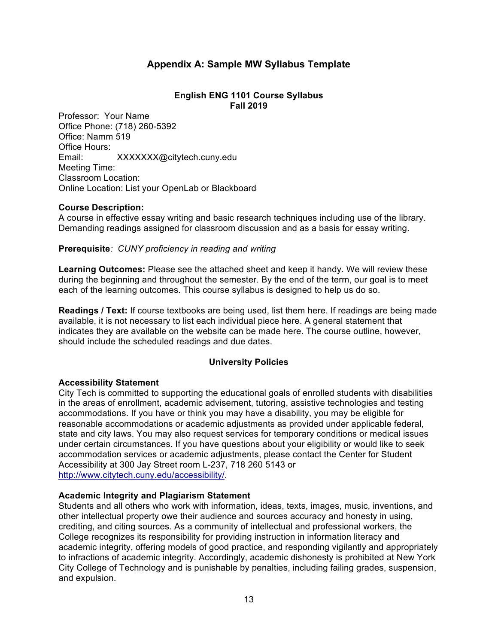# **Appendix A: Sample MW Syllabus Template**

## **English ENG 1101 Course Syllabus Fall 2019**

Professor: Your Name Office Phone: (718) 260-5392 Office: Namm 519 Office Hours: Email: XXXXXXX@citytech.cuny.edu Meeting Time: Classroom Location: Online Location: List your OpenLab or Blackboard

# **Course Description:**

A course in effective essay writing and basic research techniques including use of the library. Demanding readings assigned for classroom discussion and as a basis for essay writing.

# **Prerequisite***: CUNY proficiency in reading and writing*

**Learning Outcomes:** Please see the attached sheet and keep it handy. We will review these during the beginning and throughout the semester. By the end of the term, our goal is to meet each of the learning outcomes. This course syllabus is designed to help us do so.

**Readings / Text:** If course textbooks are being used, list them here. If readings are being made available, it is not necessary to list each individual piece here. A general statement that indicates they are available on the website can be made here. The course outline, however, should include the scheduled readings and due dates.

# **University Policies**

# **Accessibility Statement**

City Tech is committed to supporting the educational goals of enrolled students with disabilities in the areas of enrollment, academic advisement, tutoring, assistive technologies and testing accommodations. If you have or think you may have a disability, you may be eligible for reasonable accommodations or academic adjustments as provided under applicable federal, state and city laws. You may also request services for temporary conditions or medical issues under certain circumstances. If you have questions about your eligibility or would like to seek accommodation services or academic adjustments, please contact the Center for Student Accessibility at 300 Jay Street room L-237, 718 260 5143 or http://www.citytech.cuny.edu/accessibility/.

#### **Academic Integrity and Plagiarism Statement**

Students and all others who work with information, ideas, texts, images, music, inventions, and other intellectual property owe their audience and sources accuracy and honesty in using, crediting, and citing sources. As a community of intellectual and professional workers, the College recognizes its responsibility for providing instruction in information literacy and academic integrity, offering models of good practice, and responding vigilantly and appropriately to infractions of academic integrity. Accordingly, academic dishonesty is prohibited at New York City College of Technology and is punishable by penalties, including failing grades, suspension, and expulsion.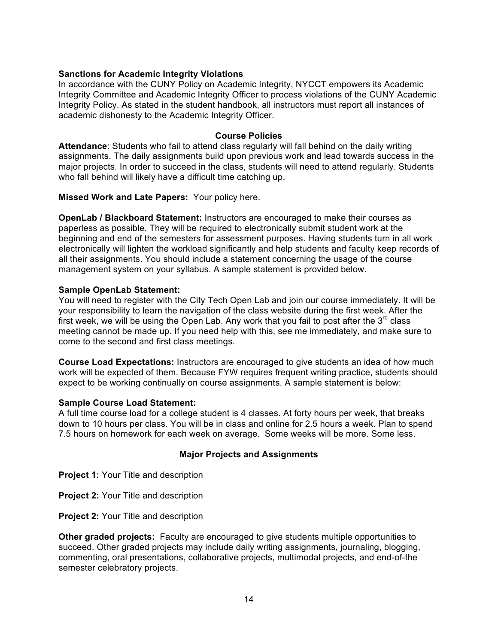# **Sanctions for Academic Integrity Violations**

In accordance with the CUNY Policy on Academic Integrity, NYCCT empowers its Academic Integrity Committee and Academic Integrity Officer to process violations of the CUNY Academic Integrity Policy. As stated in the student handbook, all instructors must report all instances of academic dishonesty to the Academic Integrity Officer.

### **Course Policies**

**Attendance**: Students who fail to attend class regularly will fall behind on the daily writing assignments. The daily assignments build upon previous work and lead towards success in the major projects. In order to succeed in the class, students will need to attend regularly. Students who fall behind will likely have a difficult time catching up.

**Missed Work and Late Papers:** Your policy here.

**OpenLab / Blackboard Statement:** Instructors are encouraged to make their courses as paperless as possible. They will be required to electronically submit student work at the beginning and end of the semesters for assessment purposes. Having students turn in all work electronically will lighten the workload significantly and help students and faculty keep records of all their assignments. You should include a statement concerning the usage of the course management system on your syllabus. A sample statement is provided below.

# **Sample OpenLab Statement:**

You will need to register with the City Tech Open Lab and join our course immediately. It will be your responsibility to learn the navigation of the class website during the first week. After the first week, we will be using the Open Lab. Any work that you fail to post after the  $3<sup>rd</sup>$  class meeting cannot be made up. If you need help with this, see me immediately, and make sure to come to the second and first class meetings.

**Course Load Expectations:** Instructors are encouraged to give students an idea of how much work will be expected of them. Because FYW requires frequent writing practice, students should expect to be working continually on course assignments. A sample statement is below:

#### **Sample Course Load Statement:**

A full time course load for a college student is 4 classes. At forty hours per week, that breaks down to 10 hours per class. You will be in class and online for 2.5 hours a week. Plan to spend 7.5 hours on homework for each week on average. Some weeks will be more. Some less.

# **Major Projects and Assignments**

**Project 1: Your Title and description** 

**Project 2: Your Title and description** 

**Project 2:** Your Title and description

**Other graded projects:** Faculty are encouraged to give students multiple opportunities to succeed. Other graded projects may include daily writing assignments, journaling, blogging, commenting, oral presentations, collaborative projects, multimodal projects, and end-of-the semester celebratory projects.